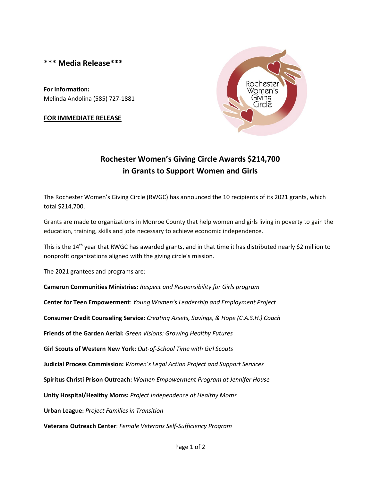**\*\*\* Media Release\*\*\***

**For Information:** Melinda Andolina (585) 727-1881

## **FOR IMMEDIATE RELEASE**



## **Rochester Women's Giving Circle Awards \$214,700 in Grants to Support Women and Girls**

The Rochester Women's Giving Circle (RWGC) has announced the 10 recipients of its 2021 grants, which total \$214,700.

Grants are made to organizations in Monroe County that help women and girls living in poverty to gain the education, training, skills and jobs necessary to achieve economic independence.

This is the 14<sup>th</sup> year that RWGC has awarded grants, and in that time it has distributed nearly \$2 million to nonprofit organizations aligned with the giving circle's mission.

The 2021 grantees and programs are:

**Cameron Communities Ministries:** *Respect and Responsibility for Girls program*

**Center for Teen Empowerment**: *Young Women's Leadership and Employment Project*

**Consumer Credit Counseling Service:** *Creating Assets, Savings, & Hope (C.A.S.H.) Coach*

**Friends of the Garden Aerial:** *Green Visions: Growing Healthy Futures*

**Girl Scouts of Western New York:** *Out-of-School Time with Girl Scouts*

**Judicial Process Commission:** *Women's Legal Action Project and Support Services*

**Spiritus Christi Prison Outreach:** *Women Empowerment Program at Jennifer House*

**Unity Hospital/Healthy Moms:** *Project Independence at Healthy Moms*

**Urban League:** *Project Families in Transition*

**Veterans Outreach Center**: *Female Veterans Self-Sufficiency Program*